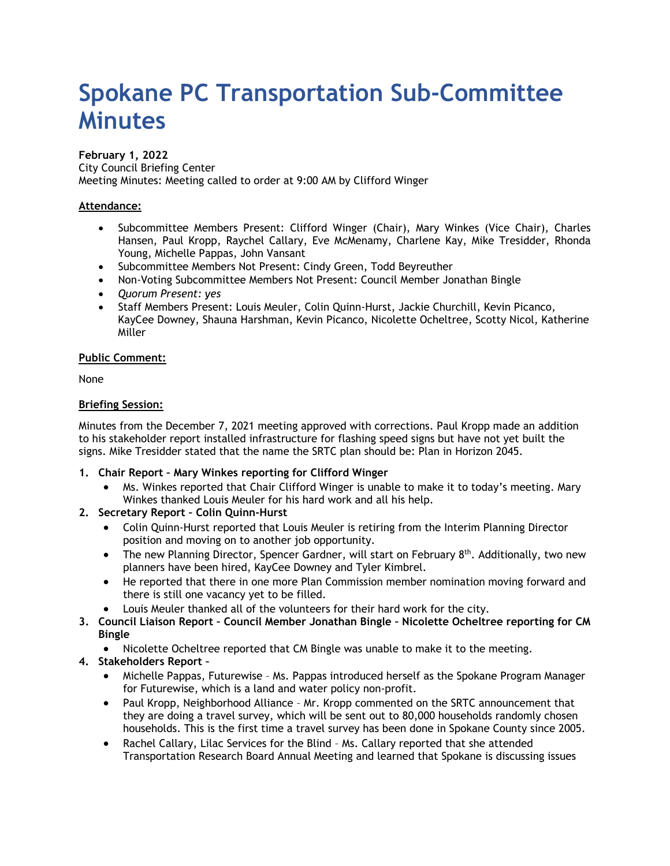# **Spokane PC Transportation Sub-Committee Minutes**

#### **February 1, 2022** City Council Briefing Center

Meeting Minutes: Meeting called to order at 9:00 AM by Clifford Winger

# **Attendance:**

- Subcommittee Members Present: Clifford Winger (Chair), Mary Winkes (Vice Chair), Charles Hansen, Paul Kropp, Raychel Callary, Eve McMenamy, Charlene Kay, Mike Tresidder, Rhonda Young, Michelle Pappas, John Vansant
- Subcommittee Members Not Present: Cindy Green, Todd Beyreuther
- Non-Voting Subcommittee Members Not Present: Council Member Jonathan Bingle
- *Quorum Present: yes*
- Staff Members Present: Louis Meuler, Colin Quinn-Hurst, Jackie Churchill, Kevin Picanco, KayCee Downey, Shauna Harshman, Kevin Picanco, Nicolette Ocheltree, Scotty Nicol, Katherine Miller

### **Public Comment:**

None

## **Briefing Session:**

Minutes from the December 7, 2021 meeting approved with corrections. Paul Kropp made an addition to his stakeholder report installed infrastructure for flashing speed signs but have not yet built the signs. Mike Tresidder stated that the name the SRTC plan should be: Plan in Horizon 2045.

- **1. Chair Report – Mary Winkes reporting for Clifford Winger**
	- Ms. Winkes reported that Chair Clifford Winger is unable to make it to today's meeting. Mary Winkes thanked Louis Meuler for his hard work and all his help.
- **2. Secretary Report – Colin Quinn-Hurst**
	- Colin Quinn-Hurst reported that Louis Meuler is retiring from the Interim Planning Director position and moving on to another job opportunity.
	- The new Planning Director, Spencer Gardner, will start on February 8<sup>th</sup>. Additionally, two new planners have been hired, KayCee Downey and Tyler Kimbrel.
	- He reported that there in one more Plan Commission member nomination moving forward and there is still one vacancy yet to be filled.
	- Louis Meuler thanked all of the volunteers for their hard work for the city.
- **3. Council Liaison Report – Council Member Jonathan Bingle – Nicolette Ocheltree reporting for CM Bingle**
	- Nicolette Ocheltree reported that CM Bingle was unable to make it to the meeting.
- **4. Stakeholders Report –**
	- Michelle Pappas, Futurewise Ms. Pappas introduced herself as the Spokane Program Manager for Futurewise, which is a land and water policy non-profit.
	- Paul Kropp, Neighborhood Alliance Mr. Kropp commented on the SRTC announcement that they are doing a travel survey, which will be sent out to 80,000 households randomly chosen households. This is the first time a travel survey has been done in Spokane County since 2005.
	- Rachel Callary, Lilac Services for the Blind Ms. Callary reported that she attended Transportation Research Board Annual Meeting and learned that Spokane is discussing issues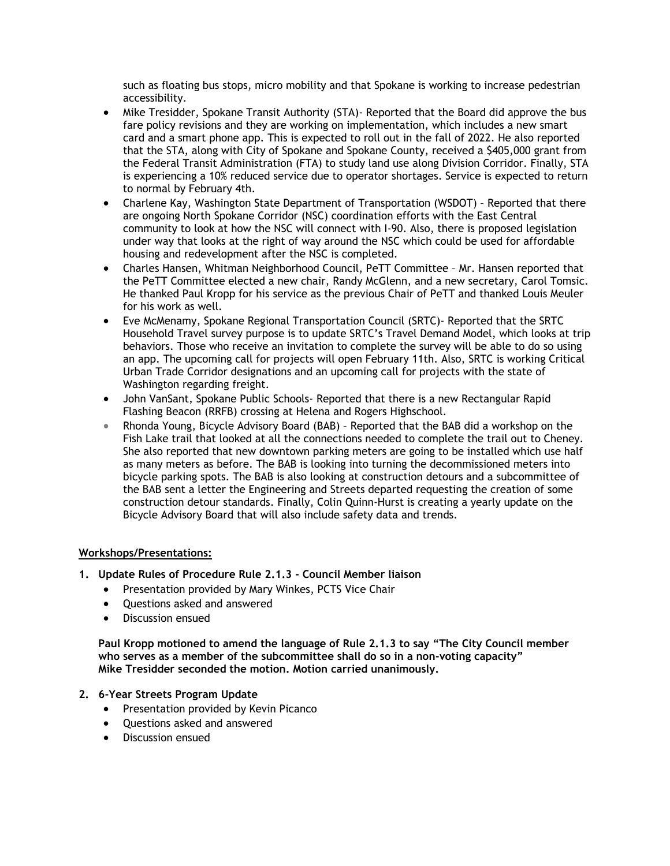such as floating bus stops, micro mobility and that Spokane is working to increase pedestrian accessibility.

- Mike Tresidder, Spokane Transit Authority (STA)- Reported that the Board did approve the bus fare policy revisions and they are working on implementation, which includes a new smart card and a smart phone app. This is expected to roll out in the fall of 2022. He also reported that the STA, along with City of Spokane and Spokane County, received a \$405,000 grant from the Federal Transit Administration (FTA) to study land use along Division Corridor. Finally, STA is experiencing a 10% reduced service due to operator shortages. Service is expected to return to normal by February 4th.
- Charlene Kay, Washington State Department of Transportation (WSDOT) Reported that there are ongoing North Spokane Corridor (NSC) coordination efforts with the East Central community to look at how the NSC will connect with I-90. Also, there is proposed legislation under way that looks at the right of way around the NSC which could be used for affordable housing and redevelopment after the NSC is completed.
- Charles Hansen, Whitman Neighborhood Council, PeTT Committee Mr. Hansen reported that the PeTT Committee elected a new chair, Randy McGlenn, and a new secretary, Carol Tomsic. He thanked Paul Kropp for his service as the previous Chair of PeTT and thanked Louis Meuler for his work as well.
- Eve McMenamy, Spokane Regional Transportation Council (SRTC)- Reported that the SRTC Household Travel survey purpose is to update SRTC's Travel Demand Model, which looks at trip behaviors. Those who receive an invitation to complete the survey will be able to do so using an app. The upcoming call for projects will open February 11th. Also, SRTC is working Critical Urban Trade Corridor designations and an upcoming call for projects with the state of Washington regarding freight.
- John VanSant, Spokane Public Schools- Reported that there is a new Rectangular Rapid Flashing Beacon (RRFB) crossing at Helena and Rogers Highschool.
- Rhonda Young, Bicycle Advisory Board (BAB) Reported that the BAB did a workshop on the Fish Lake trail that looked at all the connections needed to complete the trail out to Cheney. She also reported that new downtown parking meters are going to be installed which use half as many meters as before. The BAB is looking into turning the decommissioned meters into bicycle parking spots. The BAB is also looking at construction detours and a subcommittee of the BAB sent a letter the Engineering and Streets departed requesting the creation of some construction detour standards. Finally, Colin Quinn-Hurst is creating a yearly update on the Bicycle Advisory Board that will also include safety data and trends.

### **Workshops/Presentations:**

- **1. Update Rules of Procedure Rule 2.1.3 - Council Member liaison**
	- Presentation provided by Mary Winkes, PCTS Vice Chair
	- Questions asked and answered
	- Discussion ensued

**Paul Kropp motioned to amend the language of Rule 2.1.3 to say "The City Council member who serves as a member of the subcommittee shall do so in a non-voting capacity" Mike Tresidder seconded the motion. Motion carried unanimously.** 

- **2. 6-Year Streets Program Update**
	- Presentation provided by Kevin Picanco
	- Questions asked and answered
	- Discussion ensued